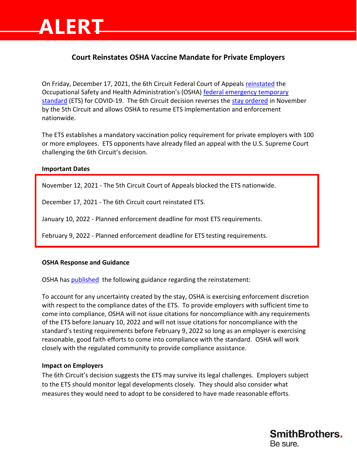## **Court Reinstates OSHA Vaccine Mandate for Private Employers**

On Friday, December 17, 2021, the 6th Circuit Federal Court of Appeals [reinstated](https://www.opn.ca6.uscourts.gov/opinions.pdf/21a0287p-06.pdf) the Occupational Safety and Health Administration's (OSHA) federal emergency temporary [standard](https://www.federalregister.gov/public-inspection/2021-23643/covid-19-vaccination-and-testing-emergency-temporary-standard) (ETS) for COVID-19. The 6th Circuit decision reverses the [stay ordered](https://www.ca5.uscourts.gov/opinions/pub/21/21-60845-CV0.pdf) in November by the 5th Circuit and allows OSHA to resume ETS implementation and enforcement nationwide.

The ETS establishes a mandatory vaccination policy requirement for private employers with 100 or more employees. ETS opponents have already filed an appeal with the U.S. Supreme Court challenging the 6th Circuit's decision.

#### **Important Dates**

**ALERT**

November 12, 2021 - The 5th Circuit Court of Appeals blocked the ETS nationwide.

December 17, 2021 - The 6th Circuit court reinstated ETS.

January 10, 2022 - Planned enforcement deadline for most ETS requirements.

February 9, 2022 - Planned enforcement deadline for ETS testing requirements.

### **OSHA Response and Guidance**

OSHA has [published](https://www.osha.gov/coronavirus/ets2) the following guidance regarding the reinstatement:

To account for any uncertainty created by the stay, OSHA is exercising enforcement discretion with respect to the compliance dates of the ETS. To provide employers with sufficient time to come into compliance, OSHA will not issue citations for noncompliance with any requirements of the ETS before January 10, 2022 and will not issue citations for noncompliance with the standard's testing requirements before February 9, 2022 so long as an employer is exercising reasonable, good faith efforts to come into compliance with the standard. OSHA will work closely with the regulated community to provide compliance assistance.

### **Impact on Employers**

The 6th Circuit's decision suggests the ETS may survive its legal challenges. Employers subject to the ETS should monitor legal developments closely. They should also consider what measures they would need to adopt to be considered to have made reasonable efforts.

> **SmithBrothers.** Be sure.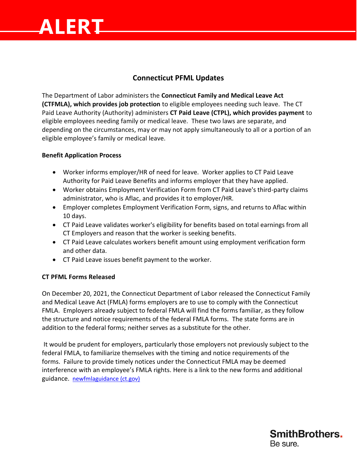# **ALERT**

### **Connecticut PFML Updates**

The Department of Labor administers the **Connecticut Family and Medical Leave Act (CTFMLA), which provides job protection** to eligible employees needing such leave. The CT Paid Leave Authority (Authority) administers **CT Paid Leave (CTPL), which provides payment** to eligible employees needing family or medical leave. These two laws are separate, and depending on the circumstances, may or may not apply simultaneously to all or a portion of an eligible employee's family or medical leave.

### **Benefit Application Process**

- Worker informs employer/HR of need for leave. Worker applies to CT Paid Leave Authority for Paid Leave Benefits and informs employer that they have applied.
- Worker obtains Employment Verification Form from CT Paid Leave's third-party claims administrator, who is Aflac, and provides it to employer/HR.
- Employer completes Employment Verification Form, signs, and returns to Aflac within 10 days.
- CT Paid Leave validates worker's eligibility for benefits based on total earnings from all CT Employers and reason that the worker is seeking benefits.
- CT Paid Leave calculates workers benefit amount using employment verification form and other data.
- CT Paid Leave issues benefit payment to the worker.

### **CT PFML Forms Released**

On December 20, 2021, the Connecticut Department of Labor released the Connecticut Family and Medical Leave Act (FMLA) forms employers are to use to comply with the Connecticut FMLA. Employers already subject to federal FMLA will find the forms familiar, as they follow the structure and notice requirements of the federal FMLA forms. The state forms are in addition to the federal forms; neither serves as a substitute for the other.

It would be prudent for employers, particularly those employers not previously subject to the federal FMLA, to familiarize themselves with the timing and notice requirements of the forms. Failure to provide timely notices under the Connecticut FMLA may be deemed interference with an employee's FMLA rights. Here is a link to the new forms and additional guidance. [newfmlaguidance \(ct.gov\)](https://portal.ct.gov/DOLUI/newfmlaguidance#CT_Family_&_Medical_Leave_Forms)

**SmithBrothers.** 

Be sure.